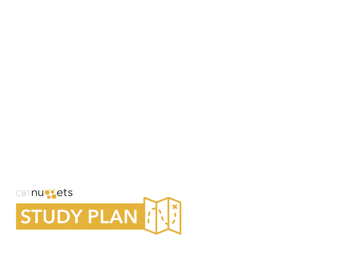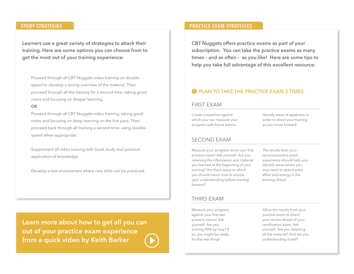**Learners use a great variety of strategies to attack their training. Here are some options you can choose from to get the most out of your training experience:**

Proceed through all CBT Nuggets video training on doublespeed to develop a strong overview of the material; Then proceed through all the training for a second time, taking good notes and focusing on deeper learning.

#### **OR**

Proceed through all CBT Nuggets video training, taking good notes and focusing on deep learning on the first pass; Then proceed back through all training a second time, using doublespeed when appropriate.

Supplement all video training with book study and practical application of knowledge.

Develop a test environment where new skills can be practiced.

**[Learn more about how to get all you can](http://blog.cbtnuggets.com/2013/11/practice-exams-make-perfect/)  out of your practice exam experience from a quick video by Keith Barker**

## **STUDY STRATEGIES PRACTICE EXAM STRATEGIES**

**CBT Nuggets offers practice exams as part of your subscription. You can take the practice exams as many times – and as often – as you like! Here are some tips to help you take full advantage of this excellent resource:**

### **A** PLAN TO TAKE THE PRACTICE EXAM 3 TIMES

#### FIRST EXAM

Create a baseline against which you can measure your progress with future exams.

Identify areas of weakness in order to direct your training as you move forward.

#### SECOND EXAM

Measure your progress since your first practice exam! Ask yourself: Are you retaining the information and material you learned at the beginning of your training? Are there areas to which you should return now to ensure your understanding before moving forward?

The results from your second practice exam experience should help you identify areas where you may need to spend extra effort and energy in the training ahead.

#### THIRD EXAM

Measure your progress against your first two practice exams! Ask yourself: Are you scoring 90% by now? If so, you might be ready for the real thing!

Allow the results from your practice exam to direct your review ahead of your certification exam. Ask yourself: Are you retaining all the material? And are you understanding it well?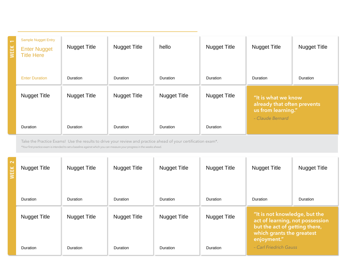# COURSE TITLE

| $\overline{ }$<br><b>NEEK</b> | <b>Sample Nugget Entry</b><br><b>Enter Nugget</b><br><b>Title Here</b> | <b>Nugget Title</b> | <b>Nugget Title</b> | hello               | <b>Nugget Title</b> | <b>Nugget Title</b>                                                                          | <b>Nugget Title</b> |
|-------------------------------|------------------------------------------------------------------------|---------------------|---------------------|---------------------|---------------------|----------------------------------------------------------------------------------------------|---------------------|
|                               | <b>Enter Duration</b>                                                  | <b>Duration</b>     | Duration            | Duration            | <b>Duration</b>     | <b>Duration</b>                                                                              | Duration            |
|                               | <b>Nugget Title</b>                                                    | <b>Nugget Title</b> | <b>Nugget Title</b> | <b>Nugget Title</b> | <b>Nugget Title</b> | "It is what we know<br>already that often prevents<br>us from learning."<br>- Claude Bernard |                     |
|                               | Duration                                                               | <b>Duration</b>     | Duration            | Duration            | <b>Duration</b>     |                                                                                              |                     |

Take the Practice Exams! Use the results to drive your review and practice ahead of your certification exam\*.

\*Your frst practice exam is intended to set a baseline against which you can measure your progress in the weeks ahead.

| $\sim$ | <b>Nugget Title</b> | <b>Nugget Title</b> | <b>Nugget Title</b> | <b>Nugget Title</b> | <b>Nugget Title</b> | <b>Nugget Title</b>                                                                                                                           | <b>Nugget Title</b> |
|--------|---------------------|---------------------|---------------------|---------------------|---------------------|-----------------------------------------------------------------------------------------------------------------------------------------------|---------------------|
|        | <b>Duration</b>     | <b>Duration</b>     | <b>Duration</b>     | Duration            | <b>Duration</b>     | <b>Duration</b>                                                                                                                               | <b>Duration</b>     |
|        | <b>Nugget Title</b> | <b>Nugget Title</b> | <b>Nugget Title</b> | <b>Nugget Title</b> | <b>Nugget Title</b> | "It is not knowledge, but the<br>act of learning, not possession<br>but the act of getting there,<br>which grants the greatest<br>enjoyment." |                     |
|        | <b>Duration</b>     | <b>Duration</b>     | Duration            | <b>Duration</b>     | <b>Duration</b>     | - Carl Friedrich Gauss                                                                                                                        |                     |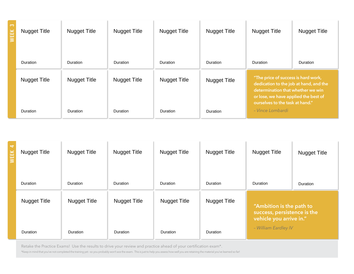| က | <b>Nugget Title</b> | <b>Nugget Title</b> | <b>Nugget Title</b> | <b>Nugget Title</b> | <b>Nugget Title</b> | <b>Nugget Title</b>                                                                                                                                                                           | <b>Nugget Title</b> |
|---|---------------------|---------------------|---------------------|---------------------|---------------------|-----------------------------------------------------------------------------------------------------------------------------------------------------------------------------------------------|---------------------|
|   | <b>Duration</b>     | Duration            | <b>Duration</b>     | <b>Duration</b>     | <b>Duration</b>     | <b>Duration</b>                                                                                                                                                                               | <b>Duration</b>     |
|   | <b>Nugget Title</b> | <b>Nugget Title</b> | <b>Nugget Title</b> | <b>Nugget Title</b> | <b>Nugget Title</b> | "The price of success is hard work,<br>dedication to the job at hand, and the<br>determination that whether we win<br>or lose, we have applied the best of<br>ourselves to the task at hand." |                     |
|   | Duration            | <b>Duration</b>     | <b>Duration</b>     | Duration            | <b>Duration</b>     | - Vince Lombardi                                                                                                                                                                              |                     |

| ᡪ | <b>Nugget Title</b> | <b>Nugget Title</b> | <b>Nugget Title</b> | <b>Nugget Title</b> | <b>Nugget Title</b> | <b>Nugget Title</b>                                     | <b>Nugget Title</b> |
|---|---------------------|---------------------|---------------------|---------------------|---------------------|---------------------------------------------------------|---------------------|
|   | Duration            | Duration            | <b>Duration</b>     | Duration            | <b>Duration</b>     | Duration                                                | Duration            |
|   | <b>Nugget Title</b> | <b>Nugget Title</b> | <b>Nugget Title</b> | <b>Nugget Title</b> | <b>Nugget Title</b> | "Ambition is the path to<br>success, persistence is the |                     |
|   | <b>Duration</b>     | <b>Duration</b>     | <b>Duration</b>     | Duration            | Duration            | vehicle you arrive in."<br>- William Eardley IV         |                     |

Retake the Practice Exams! Use the results to drive your review and practice ahead of your certification exam\*.

\*Keep in mind that you've not completed the training yet - so you probably won't ace the exam. This is just to help you assess how well you are retaining the material you've learned so far!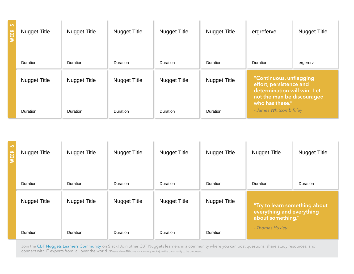| 5 | <b>Nugget Title</b> | <b>Nugget Title</b> | <b>Nugget Title</b> | <b>Nugget Title</b> | <b>Nugget Title</b> | ergreferve                                                                                                                         | <b>Nugget Title</b> |
|---|---------------------|---------------------|---------------------|---------------------|---------------------|------------------------------------------------------------------------------------------------------------------------------------|---------------------|
|   | <b>Duration</b>     | <b>Duration</b>     | <b>Duration</b>     | Duration            | <b>Duration</b>     | Duration                                                                                                                           | ergererv            |
|   | <b>Nugget Title</b> | <b>Nugget Title</b> | <b>Nugget Title</b> | <b>Nugget Title</b> | <b>Nugget Title</b> | "Continuous, unflagging<br>effort, persistence and<br>determination will win. Let<br>not the man be discouraged<br>who has these." |                     |
|   | <b>Duration</b>     | <b>Duration</b>     | <b>Duration</b>     | Duration            | <b>Duration</b>     | - James Whitcomb Riley                                                                                                             |                     |

| Ó | <b>Nugget Title</b> | <b>Nugget Title</b> | <b>Nugget Title</b> | <b>Nugget Title</b> | <b>Nugget Title</b> | <b>Nugget Title</b>                                                             | <b>Nugget Title</b> |
|---|---------------------|---------------------|---------------------|---------------------|---------------------|---------------------------------------------------------------------------------|---------------------|
|   | <b>Duration</b>     | <b>Duration</b>     | <b>Duration</b>     | Duration            | Duration            | <b>Duration</b>                                                                 | <b>Duration</b>     |
|   | <b>Nugget Title</b> | <b>Nugget Title</b> | <b>Nugget Title</b> | <b>Nugget Title</b> | <b>Nugget Title</b> | "Try to learn something about<br>everything and everything<br>about something." |                     |
|   | <b>Duration</b>     | <b>Duration</b>     | Duration            | <b>Duration</b>     | Duration            | - Thomas Huxley                                                                 |                     |

Join the **CBT Nuggets Learners Community** on Slack! Join other CBT Nuggets learners in a community where you can post questions, share study resources, and connect with IT experts from all over the world .\*Please allow 48 hours for your request to join the community to be processed.